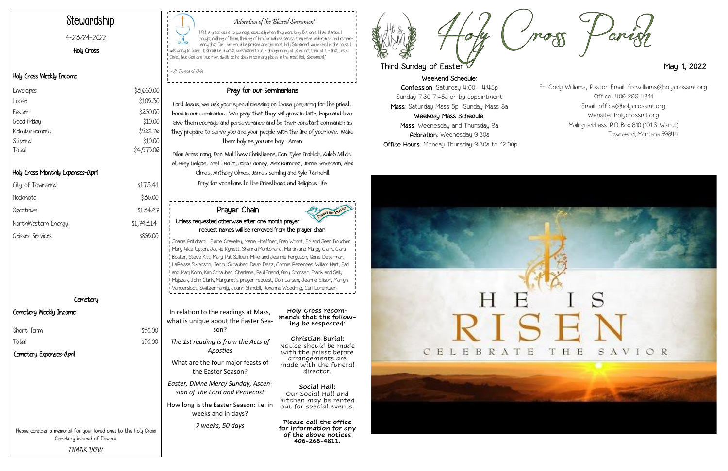Weekend Schedule: Confession: Saturday 4:00—4:45p Sunday 7:30-7:45a or by appointment Mass: Saturday Mass 5p Sunday Mass 8a Weekday Mass Schedule: Mass: Wednesday and Thursday 9a Adoration: Wednesday 9:30a Office Hours: Monday-Thursday 9:30a to 12:00p







### Adoration of the Blessed Sacrament

"I felt a great dislike to journeys, especially when they were long. But once I had started, I thought nothing of them, thinking of Him for Whose service they were undertaken and remembering that Our Lord would be praised and the most Holy Sacrament would dwell in the house I was going to found... It should be a great consolation to us - though many of us do not think of it - that Jesus Christ, true God and true man, dwells as He does in so many places in the most Holy Sacrament,"

- St. Teresa of Avila

# Stewardship

#### 4-23/24-2022

Holy Cross

#### Holy Cross Weekly Income

#### Holy Cross Monthly Expenses-April

| \$173.41   |
|------------|
| \$36.00    |
| \$134.97   |
| \$1,793.14 |
| \$865.00   |
|            |

**Cemetery** 

#### Cemetery Weekly Income

#### Pray for our Seminarians

Lord Jesus, we ask your special blessing on those preparing for the priesthood in our seminaries. We pray that they will grow in faith, hope and love. Give them courage and perseverance and be their constant companion as they prepare to serve you and your people with the fire of your love. Make them holy as you are holy. Amen.

Dillon Armstrong, Dcn. Matthew Christiaens, Dcn. Tyler Frohlich, Kaleb Mitchell, Riley Helgoe, Brett Rotz, John Cooney, Alex Ramirez, Jamie Severson, Alex Olmes, Anthony Olmes, James Semling and Kyle Tannehill. Pray for vocations to the Priesthood and Religious Life.

| Envelopes     | \$3,660.00 |
|---------------|------------|
| Loose         | \$105.30   |
| Easter        | \$260.00   |
| Good Friday   | \$10.00    |
| Reimbursement | \$529.76   |
| Stipend       | \$10.00    |
| Total         | \$4,575.06 |
|               |            |

Please consider a memorial for your loved ones to the Holy Cross Cemetery instead of flowers. **THANK YOU!**

In relation to the readings at Mass, what is unique about the Easter Season?

*The 1st reading is from the Acts of Apostles* 

 $$50.00$ 

What are the four major feasts of the Easter Season?

*Easter, Divine Mercy Sunday, Ascension of The Lord and Pentecost*

How long is the Easter Season: i.e. in weeks and in days?

*7 weeks, 50 days*

Holy Cross recommends that the following be respected:

#### Christian Burial:

Notice should be made with the priest before arrangements are made with the funeral director.

Social Hall: Our Social Hall and kitchen may be rented out for special events.

Please call the office for information for any of the above notices 406-266-4811.





## Third Sunday of Easter May 1, 2022

#### Prayer Chain Unless requested otherwise after one month prayer request names will be removed from the prayer chain:

Joanie Pritchard, Elaine Graveley, Marie Hoeffner, Fran Wright, Ed and Jean Boucher, Mary Alice Upton, Jackie Kynett, Shanna Montonario, Martin and Margy Clark, Clara Boster, Steve Kitt, Mary Pat Sullivan, Mike and Jeannie Ferguson, Gene Determan, LaReissa Swenson, Jenny Schauber, David Deitz, Connie Rezendes, William Hart, Earl and Marj Kohn, Kim Schauber, Charlene, Paul Friend, Amy Ghorsen, Frank and Sally Majszak, John Clark, Margaret's prayer request, Don Larsen, Jeanne Ellison, Marilyn Vandersloot, Switzer family, Joann Shindoll, Roxanne Woodring, Carl Lorentzen

Fr. Cody Williams, Pastor Email: frcwilliams@holycrossmt.org Office: 406-266-4811 Email: office@holycrossmt.org Website: holycrossmt.org Mailing address: P.O. Box 610 (101 S. Walnut) Townsend, Montana 59644

| Comotory Exponses-april |         |
|-------------------------|---------|
| Total                   | \$50.00 |
| Short Term              | \$50.00 |